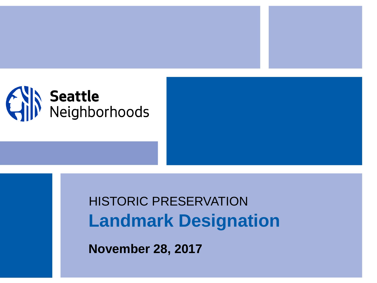

## **Landmark Designation** HISTORIC PRESERVATION

**November 28, 2017**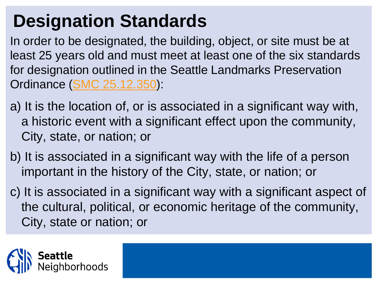## **Designation Standards**

In order to be designated, the building, object, or site must be at least 25 years old and must meet at least one of the six standards for designation outlined in the Seattle Landmarks Preservation Ordinance [\(SMC 25.12.350\)](http://clerk.ci.seattle.wa.us/~scripts/nph-brs.exe?s1=25.12&s2=&S3=&Sect4=AND&l=20&Sect1=IMAGE&Sect3=PLURON&Sect5=CODE1&d=CODE&p=1&u=/~public/code1.htm&r=1&Sect6=HITOFF&f=G):

- a) It is the location of, or is associated in a significant way with, a historic event with a significant effect upon the community, City, state, or nation; or
- b) It is associated in a significant way with the life of a person important in the history of the City, state, or nation; or
- c) It is associated in a significant way with a significant aspect of the cultural, political, or economic heritage of the community, City, state or nation; or

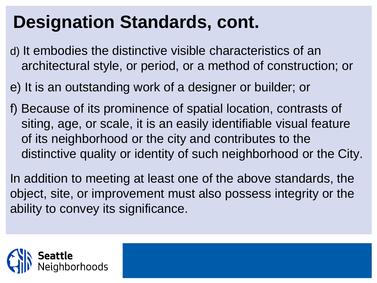## **Designation Standards, cont.**

- d) It embodies the distinctive visible characteristics of an architectural style, or period, or a method of construction; or
- e) It is an outstanding work of a designer or builder; or
- f) Because of its prominence of spatial location, contrasts of siting, age, or scale, it is an easily identifiable visual feature of its neighborhood or the city and contributes to the distinctive quality or identity of such neighborhood or the City.

In addition to meeting at least one of the above standards, the object, site, or improvement must also possess integrity or the ability to convey its significance.

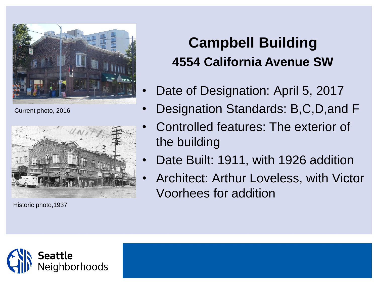

Current photo, 2016



Historic photo,1937

## **Campbell Building 4554 California Avenue SW**

- Date of Designation: April 5, 2017
- Designation Standards: B,C,D,and F
- Controlled features: The exterior of the building
- Date Built: 1911, with 1926 addition
- Architect: Arthur Loveless, with Victor Voorhees for addition